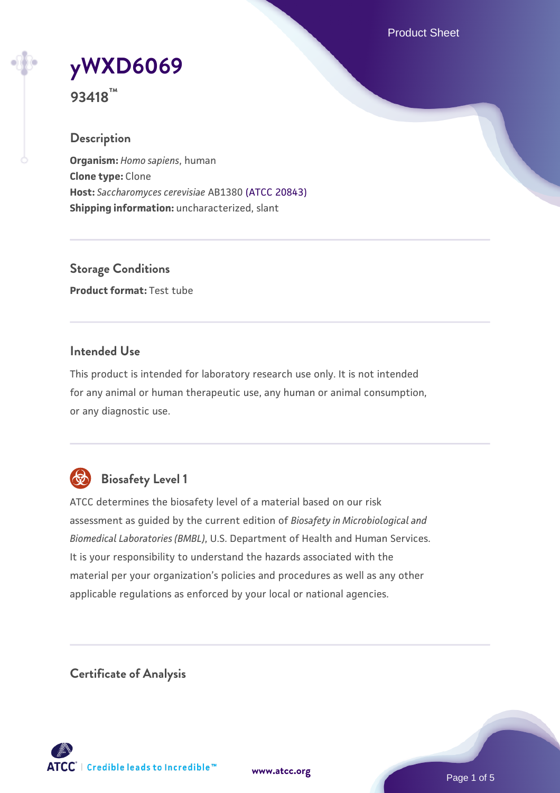Product Sheet

# **[yWXD6069](https://www.atcc.org/products/93418)**

**93418™**

# **Description**

**Organism:** *Homo sapiens*, human **Clone type:** Clone **Host:** *Saccharomyces cerevisiae* AB1380 [\(ATCC 20843\)](https://www.atcc.org/products/20843) **Shipping information:** uncharacterized, slant

**Storage Conditions Product format:** Test tube

# **Intended Use**

This product is intended for laboratory research use only. It is not intended for any animal or human therapeutic use, any human or animal consumption, or any diagnostic use.



# **Biosafety Level 1**

ATCC determines the biosafety level of a material based on our risk assessment as guided by the current edition of *Biosafety in Microbiological and Biomedical Laboratories (BMBL)*, U.S. Department of Health and Human Services. It is your responsibility to understand the hazards associated with the material per your organization's policies and procedures as well as any other applicable regulations as enforced by your local or national agencies.

**Certificate of Analysis**

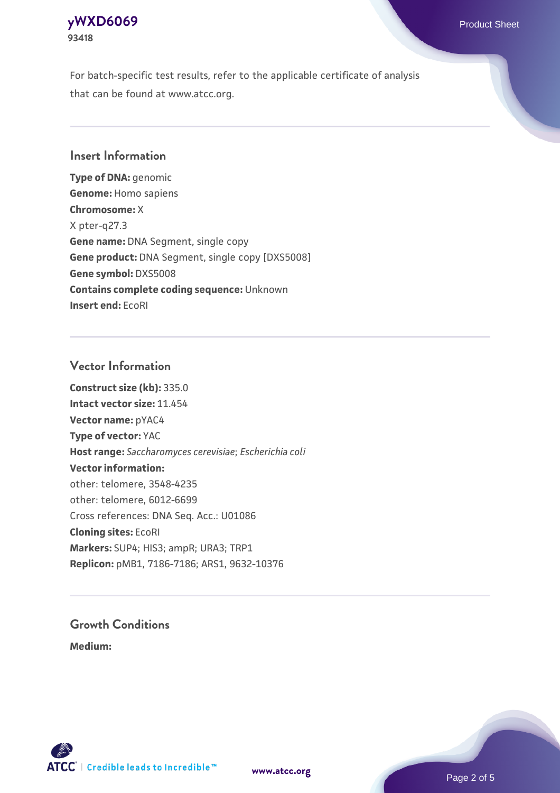# **[yWXD6069](https://www.atcc.org/products/93418)** Product Sheet **93418**

For batch-specific test results, refer to the applicable certificate of analysis that can be found at www.atcc.org.

# **Insert Information**

**Type of DNA:** genomic **Genome:** Homo sapiens **Chromosome:** X X pter-q27.3 **Gene name:** DNA Segment, single copy **Gene product:** DNA Segment, single copy [DXS5008] **Gene symbol:** DXS5008 **Contains complete coding sequence:** Unknown **Insert end:** EcoRI

#### **Vector Information**

**Construct size (kb):** 335.0 **Intact vector size:** 11.454 **Vector name:** pYAC4 **Type of vector:** YAC **Host range:** *Saccharomyces cerevisiae*; *Escherichia coli* **Vector information:** other: telomere, 3548-4235 other: telomere, 6012-6699 Cross references: DNA Seq. Acc.: U01086 **Cloning sites:** EcoRI **Markers:** SUP4; HIS3; ampR; URA3; TRP1 **Replicon:** pMB1, 7186-7186; ARS1, 9632-10376

# **Growth Conditions**

**Medium:** 



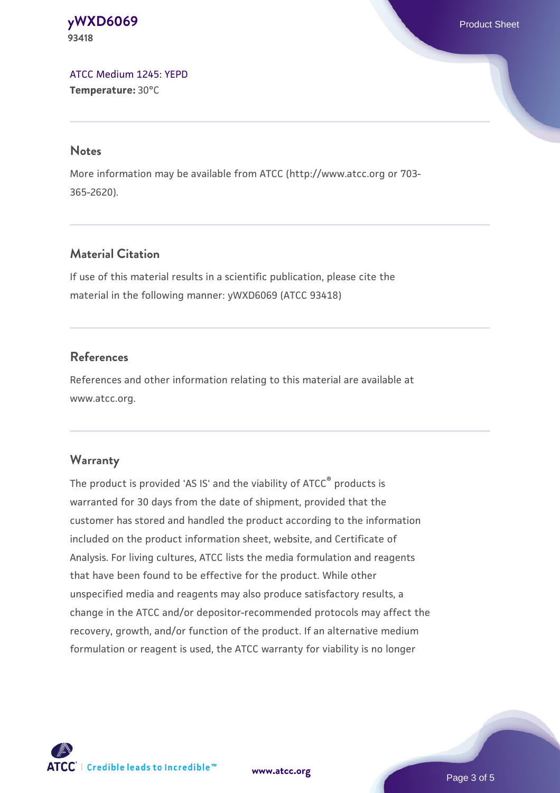**[yWXD6069](https://www.atcc.org/products/93418)** Product Sheet **93418**

[ATCC Medium 1245: YEPD](https://www.atcc.org/-/media/product-assets/documents/microbial-media-formulations/1/2/4/5/atcc-medium-1245.pdf?rev=705ca55d1b6f490a808a965d5c072196) **Temperature:** 30°C

#### **Notes**

More information may be available from ATCC (http://www.atcc.org or 703- 365-2620).

# **Material Citation**

If use of this material results in a scientific publication, please cite the material in the following manner: yWXD6069 (ATCC 93418)

# **References**

References and other information relating to this material are available at www.atcc.org.

#### **Warranty**

The product is provided 'AS IS' and the viability of ATCC® products is warranted for 30 days from the date of shipment, provided that the customer has stored and handled the product according to the information included on the product information sheet, website, and Certificate of Analysis. For living cultures, ATCC lists the media formulation and reagents that have been found to be effective for the product. While other unspecified media and reagents may also produce satisfactory results, a change in the ATCC and/or depositor-recommended protocols may affect the recovery, growth, and/or function of the product. If an alternative medium formulation or reagent is used, the ATCC warranty for viability is no longer



**[www.atcc.org](http://www.atcc.org)**

Page 3 of 5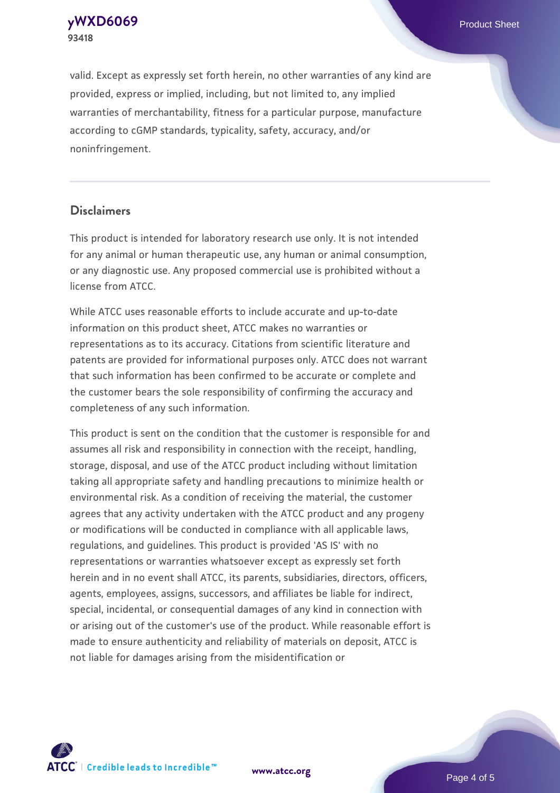**[yWXD6069](https://www.atcc.org/products/93418)** Product Sheet **93418**

valid. Except as expressly set forth herein, no other warranties of any kind are provided, express or implied, including, but not limited to, any implied warranties of merchantability, fitness for a particular purpose, manufacture according to cGMP standards, typicality, safety, accuracy, and/or noninfringement.

#### **Disclaimers**

This product is intended for laboratory research use only. It is not intended for any animal or human therapeutic use, any human or animal consumption, or any diagnostic use. Any proposed commercial use is prohibited without a license from ATCC.

While ATCC uses reasonable efforts to include accurate and up-to-date information on this product sheet, ATCC makes no warranties or representations as to its accuracy. Citations from scientific literature and patents are provided for informational purposes only. ATCC does not warrant that such information has been confirmed to be accurate or complete and the customer bears the sole responsibility of confirming the accuracy and completeness of any such information.

This product is sent on the condition that the customer is responsible for and assumes all risk and responsibility in connection with the receipt, handling, storage, disposal, and use of the ATCC product including without limitation taking all appropriate safety and handling precautions to minimize health or environmental risk. As a condition of receiving the material, the customer agrees that any activity undertaken with the ATCC product and any progeny or modifications will be conducted in compliance with all applicable laws, regulations, and guidelines. This product is provided 'AS IS' with no representations or warranties whatsoever except as expressly set forth herein and in no event shall ATCC, its parents, subsidiaries, directors, officers, agents, employees, assigns, successors, and affiliates be liable for indirect, special, incidental, or consequential damages of any kind in connection with or arising out of the customer's use of the product. While reasonable effort is made to ensure authenticity and reliability of materials on deposit, ATCC is not liable for damages arising from the misidentification or



**[www.atcc.org](http://www.atcc.org)**

Page 4 of 5